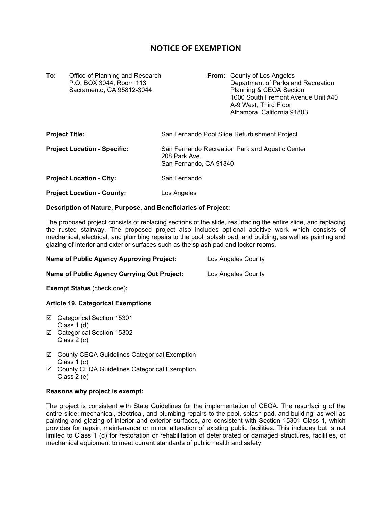# **NOTICE OF EXEMPTION**

**To:** Office of Planning and Research **From:** County of Los Angeles Sacramento, CA 95812-3044

P.O. BOX 3044, Room 113 Department of Parks and Recreation<br>Sacramento, CA 95812-3044 Department of Panning & CEQA Section 1000 South Fremont Avenue Unit #40 A-9 West, Third Floor Alhambra, California 91803

| <b>Project Title:</b>               | San Fernando Pool Slide Refurbishment Project                                              |
|-------------------------------------|--------------------------------------------------------------------------------------------|
| <b>Project Location - Specific:</b> | San Fernando Recreation Park and Aquatic Center<br>208 Park Ave.<br>San Fernando, CA 91340 |
| <b>Project Location - City:</b>     | San Fernando                                                                               |
| <b>Project Location - County:</b>   | Los Angeles                                                                                |

# **Description of Nature, Purpose, and Beneficiaries of Project:**

The proposed project consists of replacing sections of the slide, resurfacing the entire slide, and replacing the rusted stairway. The proposed project also includes optional additive work which consists of mechanical, electrical, and plumbing repairs to the pool, splash pad, and building; as well as painting and glazing of interior and exterior surfaces such as the splash pad and locker rooms.

| <b>Name of Public Agency Approving Project:</b> | Los Angeles County |
|-------------------------------------------------|--------------------|
|-------------------------------------------------|--------------------|

**Name of Public Agency Carrying Out Project:** Los Angeles County

**Exempt Status** (check one)**:**

## **Article 19. Categorical Exemptions**

- Categorical Section 15301 Class 1 (d)
- Categorical Section 15302 Class 2 (c)
- County CEQA Guidelines Categorical Exemption Class 1 (c)
- County CEQA Guidelines Categorical Exemption Class 2 (e)

### **Reasons why project is exempt:**

The project is consistent with State Guidelines for the implementation of CEQA. The resurfacing of the entire slide; mechanical, electrical, and plumbing repairs to the pool, splash pad, and building; as well as painting and glazing of interior and exterior surfaces, are consistent with Section 15301 Class 1, which provides for repair, maintenance or minor alteration of existing public facilities. This includes but is not limited to Class 1 (d) for restoration or rehabilitation of deteriorated or damaged structures, facilities, or mechanical equipment to meet current standards of public health and safety.